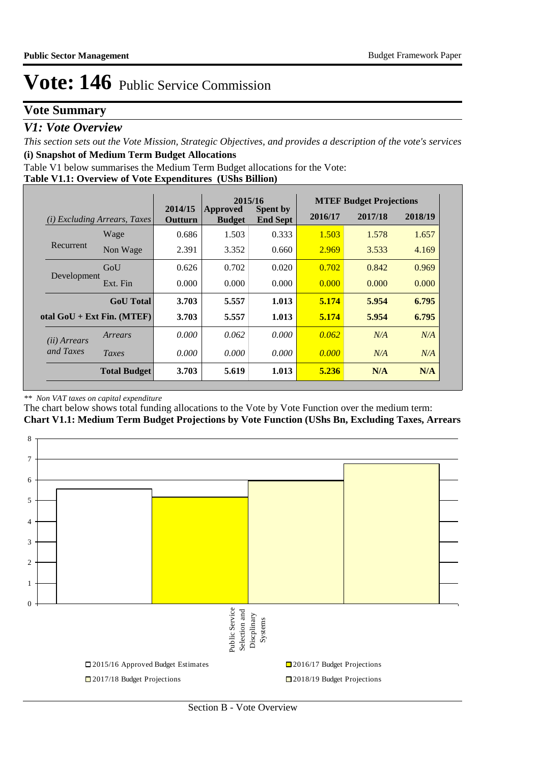### **Vote Summary**

### *V1: Vote Overview*

*This section sets out the Vote Mission, Strategic Objectives, and provides a description of the vote's services* **(i) Snapshot of Medium Term Budget Allocations** 

Table V1 below summarises the Medium Term Budget allocations for the Vote:

**Table V1.1: Overview of Vote Expenditures (UShs Billion)**

|                                        |                              |                    | 2015/16<br><b>Spent by</b><br><b>Approved</b> |                 |         | <b>MTEF Budget Projections</b> |         |
|----------------------------------------|------------------------------|--------------------|-----------------------------------------------|-----------------|---------|--------------------------------|---------|
| <i>Excluding Arrears, Taxes</i><br>(i) |                              | 2014/15<br>Outturn | <b>Budget</b>                                 | <b>End Sept</b> | 2016/17 | 2017/18                        | 2018/19 |
|                                        | Wage                         | 0.686              | 1.503                                         | 0.333           | 1.503   | 1.578                          | 1.657   |
| Recurrent                              | Non Wage                     | 2.391              | 3.352                                         | 0.660           | 2.969   | 3.533                          | 4.169   |
|                                        | GoU                          | 0.626              | 0.702                                         | 0.020           | 0.702   | 0.842                          | 0.969   |
| Development                            | Ext. Fin                     | 0.000              | 0.000                                         | 0.000           | 0.000   | 0.000                          | 0.000   |
|                                        | <b>GoU</b> Total             | 3.703              | 5.557                                         | 1.013           | 5.174   | 5.954                          | 6.795   |
|                                        | otal $GoU + Ext Fin. (MTEF)$ | 3.703              | 5.557                                         | 1.013           | 5.174   | 5.954                          | 6.795   |
| ( <i>ii</i> ) Arrears                  | Arrears                      | 0.000              | 0.062                                         | 0.000           | 0.062   | N/A                            | N/A     |
| and Taxes                              | Taxes                        | 0.000              | 0.000                                         | 0.000           | 0.000   | N/A                            | N/A     |
|                                        | <b>Total Budget</b>          | 3.703              | 5.619                                         | 1.013           | 5.236   | N/A                            | N/A     |

#### *\*\* Non VAT taxes on capital expenditure*

The chart below shows total funding allocations to the Vote by Vote Function over the medium term: **Chart V1.1: Medium Term Budget Projections by Vote Function (UShs Bn, Excluding Taxes, Arrears**

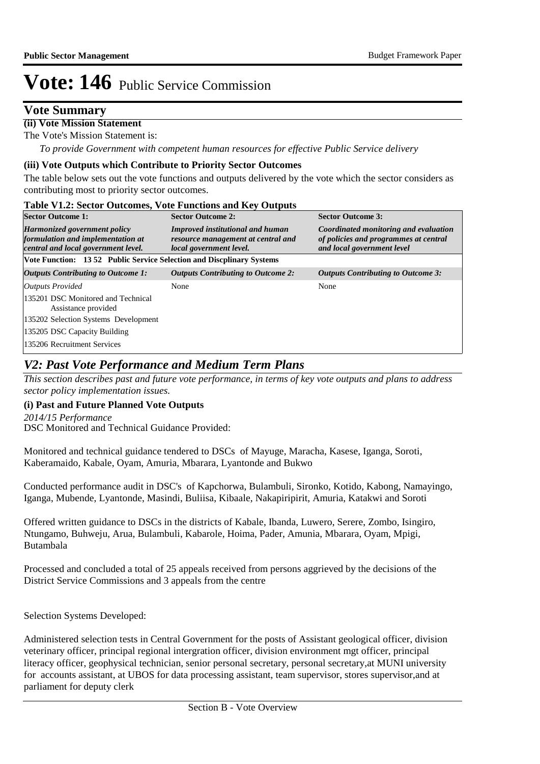### **Vote Summary**

### **(ii) Vote Mission Statement**

The Vote's Mission Statement is:

*To provide Government with competent human resources for effective Public Service delivery*

#### **(iii) Vote Outputs which Contribute to Priority Sector Outcomes**

The table below sets out the vote functions and outputs delivered by the vote which the sector considers as contributing most to priority sector outcomes.

#### **Table V1.2: Sector Outcomes, Vote Functions and Key Outputs**

| <b>Sector Outcome 1:</b>                                                                                        | <b>Sector Outcome 2:</b>                                                                                 | <b>Sector Outcome 3:</b>                                                                                     |
|-----------------------------------------------------------------------------------------------------------------|----------------------------------------------------------------------------------------------------------|--------------------------------------------------------------------------------------------------------------|
| <b>Harmonized government policy</b><br>formulation and implementation at<br>central and local government level. | <b>Improved institutional and human</b><br>resource management at central and<br>local government level. | Coordinated monitoring and evaluation<br>of policies and programmes at central<br>and local government level |
| Vote Function: 1352 Public Service Selection and Discplinary Systems                                            |                                                                                                          |                                                                                                              |
| Outputs Contributing to Outcome 1:                                                                              | <b>Outputs Contributing to Outcome 2:</b>                                                                | <b>Outputs Contributing to Outcome 3:</b>                                                                    |
| <b>Outputs Provided</b>                                                                                         | None                                                                                                     | None                                                                                                         |
| 135201 DSC Monitored and Technical<br>Assistance provided                                                       |                                                                                                          |                                                                                                              |
| 135202 Selection Systems Development                                                                            |                                                                                                          |                                                                                                              |
| 135205 DSC Capacity Building                                                                                    |                                                                                                          |                                                                                                              |
| 135206 Recruitment Services                                                                                     |                                                                                                          |                                                                                                              |

### *V2: Past Vote Performance and Medium Term Plans*

*This section describes past and future vote performance, in terms of key vote outputs and plans to address sector policy implementation issues.* 

### **(i) Past and Future Planned Vote Outputs**

DSC Monitored and Technical Guidance Provided: *2014/15 Performance*

Monitored and technical guidance tendered to DSCs of Mayuge, Maracha, Kasese, Iganga, Soroti, Kaberamaido, Kabale, Oyam, Amuria, Mbarara, Lyantonde and Bukwo

Conducted performance audit in DSC's of Kapchorwa, Bulambuli, Sironko, Kotido, Kabong, Namayingo, Iganga, Mubende, Lyantonde, Masindi, Buliisa, Kibaale, Nakapiripirit, Amuria, Katakwi and Soroti

Offered written guidance to DSCs in the districts of Kabale, Ibanda, Luwero, Serere, Zombo, Isingiro, Ntungamo, Buhweju, Arua, Bulambuli, Kabarole, Hoima, Pader, Amunia, Mbarara, Oyam, Mpigi, Butambala

Processed and concluded a total of 25 appeals received from persons aggrieved by the decisions of the District Service Commissions and 3 appeals from the centre

Selection Systems Developed:

Administered selection tests in Central Government for the posts of Assistant geological officer, division veterinary officer, principal regional intergration officer, division environment mgt officer, principal literacy officer, geophysical technician, senior personal secretary, personal secretary,at MUNI university for accounts assistant, at UBOS for data processing assistant, team supervisor, stores supervisor,and at parliament for deputy clerk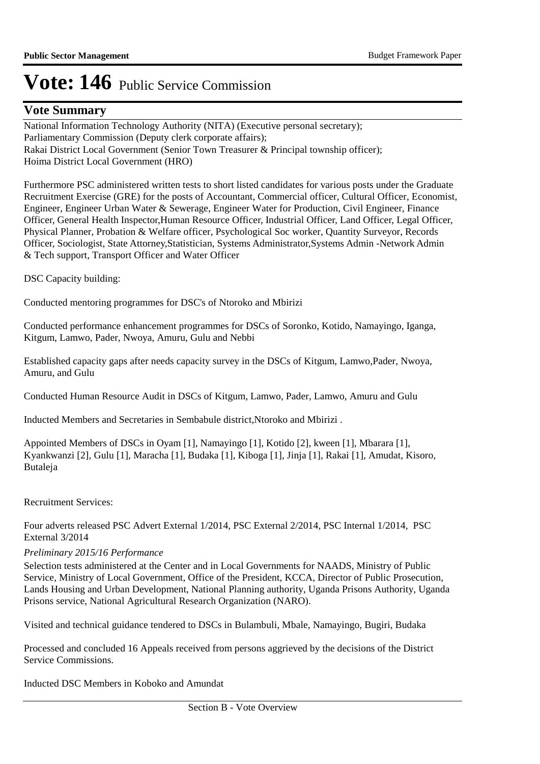### **Vote Summary**

National Information Technology Authority (NITA) (Executive personal secretary); Parliamentary Commission (Deputy clerk corporate affairs); Rakai District Local Government (Senior Town Treasurer & Principal township officer); Hoima District Local Government (HRO)

Furthermore PSC administered written tests to short listed candidates for various posts under the Graduate Recruitment Exercise (GRE) for the posts of Accountant, Commercial officer, Cultural Officer, Economist, Engineer, Engineer Urban Water & Sewerage, Engineer Water for Production, Civil Engineer, Finance Officer, General Health Inspector, Human Resource Officer, Industrial Officer, Land Officer, Legal Officer, Physical Planner, Probation & Welfare officer, Psychological Soc worker, Quantity Surveyor, Records Officer, Sociologist, State Attorney, Statistician, Systems Administrator, Systems Admin -Network Admin & Tech support, Transport Officer and Water Officer

DSC Capacity building:

Conducted mentoring programmes for DSC's of Ntoroko and Mbirizi

Conducted performance enhancement programmes for DSCs of Soronko, Kotido, Namayingo, Iganga, Kitgum, Lamwo, Pader, Nwoya, Amuru, Gulu and Nebbi

Established capacity gaps after needs capacity survey in the DSCs of Kitgum, Lamwo,Pader, Nwoya, Amuru, and Gulu

Conducted Human Resource Audit in DSCs of Kitgum, Lamwo, Pader, Lamwo, Amuru and Gulu

Inducted Members and Secretaries in Sembabule district,Ntoroko and Mbirizi .

Appointed Members of DSCs in Oyam [1], Namayingo [1], Kotido [2], kween [1], Mbarara [1], Kyankwanzi [2], Gulu [1], Maracha [1], Budaka [1], Kiboga [1], Jinja [1], Rakai [1], Amudat, Kisoro, Butaleja

Recruitment Services:

Four adverts released PSC Advert External 1/2014, PSC External 2/2014, PSC Internal 1/2014, PSC External 3/2014

#### *Preliminary 2015/16 Performance*

Selection tests administered at the Center and in Local Governments for NAADS, Ministry of Public Service, Ministry of Local Government, Office of the President, KCCA, Director of Public Prosecution, Lands Housing and Urban Development, National Planning authority, Uganda Prisons Authority, Uganda Prisons service, National Agricultural Research Organization (NARO).

Visited and technical guidance tendered to DSCs in Bulambuli, Mbale, Namayingo, Bugiri, Budaka

Processed and concluded 16 Appeals received from persons aggrieved by the decisions of the District Service Commissions.

Inducted DSC Members in Koboko and Amundat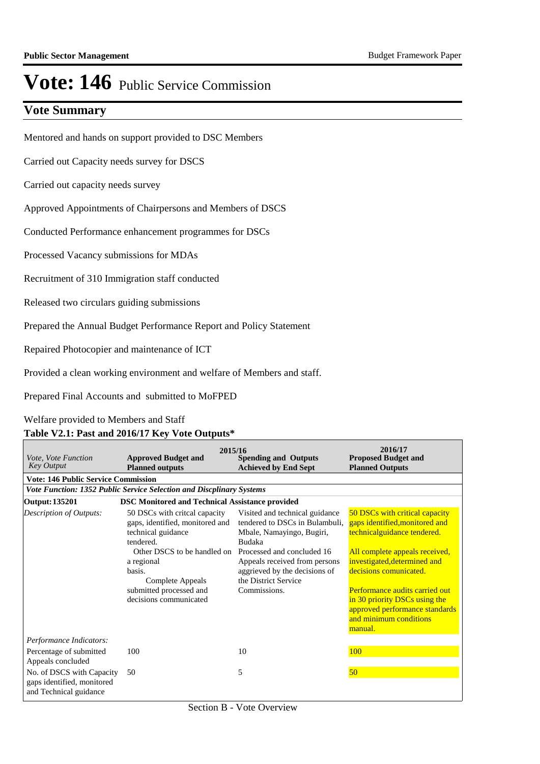### **Vote Summary**

Mentored and hands on support provided to DSC Members

Carried out Capacity needs survey for DSCS

Carried out capacity needs survey

Approved Appointments of Chairpersons and Members of DSCS

Conducted Performance enhancement programmes for DSCs

Processed Vacancy submissions for MDAs

Recruitment of 310 Immigration staff conducted

Released two circulars guiding submissions

Prepared the Annual Budget Performance Report and Policy Statement

Repaired Photocopier and maintenance of ICT

Provided a clean working environment and welfare of Members and staff.

Prepared Final Accounts and submitted to MoFPED

Welfare provided to Members and Staff

#### **Table V2.1: Past and 2016/17 Key Vote Outputs\***

| <i>Vote, Vote Function</i><br><b>Key Output</b>                                   | 2015/16<br><b>Approved Budget and</b><br><b>Planned outputs</b>                                                                                                                                                                      | <b>Spending and Outputs</b><br><b>Achieved by End Sept</b>                                                                                                                                                                                      | 2016/17<br><b>Proposed Budget and</b><br><b>Planned Outputs</b>                                                                                                                                                                                                                                                                       |
|-----------------------------------------------------------------------------------|--------------------------------------------------------------------------------------------------------------------------------------------------------------------------------------------------------------------------------------|-------------------------------------------------------------------------------------------------------------------------------------------------------------------------------------------------------------------------------------------------|---------------------------------------------------------------------------------------------------------------------------------------------------------------------------------------------------------------------------------------------------------------------------------------------------------------------------------------|
| <b>Vote: 146 Public Service Commission</b>                                        |                                                                                                                                                                                                                                      |                                                                                                                                                                                                                                                 |                                                                                                                                                                                                                                                                                                                                       |
|                                                                                   | Vote Function: 1352 Public Service Selection and Discplinary Systems                                                                                                                                                                 |                                                                                                                                                                                                                                                 |                                                                                                                                                                                                                                                                                                                                       |
| Output: 135201                                                                    | <b>DSC Monitored and Technical Assistance provided</b>                                                                                                                                                                               |                                                                                                                                                                                                                                                 |                                                                                                                                                                                                                                                                                                                                       |
| <b>Description of Outputs:</b>                                                    | 50 DSCs with critical capacity<br>gaps, identified, monitored and<br>technical guidance<br>tendered.<br>Other DSCS to be handled on<br>a regional<br>basis.<br>Complete Appeals<br>submitted processed and<br>decisions communicated | Visited and technical guidance<br>tendered to DSCs in Bulambuli,<br>Mbale, Namayingo, Bugiri,<br>Budaka<br>Processed and concluded 16<br>Appeals received from persons<br>aggrieved by the decisions of<br>the District Service<br>Commissions. | 50 DSCs with critical capacity<br>gaps identified, monitored and<br>technicalguidance tendered.<br>All complete appeals received,<br>investigated, determined and<br>decisions comunicated.<br>Performance audits carried out<br>in 30 priority DSCs using the<br>approved performance standards<br>and minimum conditions<br>manual. |
| Performance Indicators:                                                           |                                                                                                                                                                                                                                      |                                                                                                                                                                                                                                                 |                                                                                                                                                                                                                                                                                                                                       |
| Percentage of submitted<br>Appeals concluded                                      | 100                                                                                                                                                                                                                                  | 10                                                                                                                                                                                                                                              | 100                                                                                                                                                                                                                                                                                                                                   |
| No. of DSCS with Capacity<br>gaps identified, monitored<br>and Technical guidance | 50                                                                                                                                                                                                                                   | 5                                                                                                                                                                                                                                               | 50                                                                                                                                                                                                                                                                                                                                    |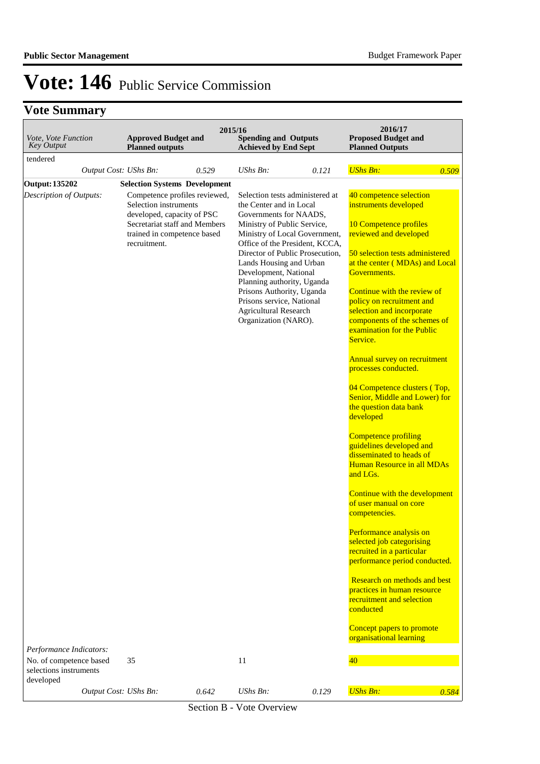## **Vote Summary**

| <b>Approved Budget and</b><br>Vote, Vote Function<br><b>Key Output</b><br><b>Planned outputs</b> |                                                                                                                                                                                                              | 2015/16 | <b>Spending and Outputs</b><br><b>Achieved by End Sept</b>                                                                                                                                                                                                                                                                                                                                                                    |       | 2016/17<br><b>Proposed Budget and</b><br><b>Planned Outputs</b>                                                                                                                                                                                                                                                                                                                                                                                                                                                                                                                                                                                                                                                                                                                                                                                                                                                                                      |       |
|--------------------------------------------------------------------------------------------------|--------------------------------------------------------------------------------------------------------------------------------------------------------------------------------------------------------------|---------|-------------------------------------------------------------------------------------------------------------------------------------------------------------------------------------------------------------------------------------------------------------------------------------------------------------------------------------------------------------------------------------------------------------------------------|-------|------------------------------------------------------------------------------------------------------------------------------------------------------------------------------------------------------------------------------------------------------------------------------------------------------------------------------------------------------------------------------------------------------------------------------------------------------------------------------------------------------------------------------------------------------------------------------------------------------------------------------------------------------------------------------------------------------------------------------------------------------------------------------------------------------------------------------------------------------------------------------------------------------------------------------------------------------|-------|
| tendered                                                                                         |                                                                                                                                                                                                              |         |                                                                                                                                                                                                                                                                                                                                                                                                                               |       |                                                                                                                                                                                                                                                                                                                                                                                                                                                                                                                                                                                                                                                                                                                                                                                                                                                                                                                                                      |       |
| Output Cost: UShs Bn:                                                                            |                                                                                                                                                                                                              | 0.529   | <b>UShs Bn:</b>                                                                                                                                                                                                                                                                                                                                                                                                               | 0.121 | <b>UShs Bn:</b>                                                                                                                                                                                                                                                                                                                                                                                                                                                                                                                                                                                                                                                                                                                                                                                                                                                                                                                                      | 0.509 |
| <b>Output: 135202</b><br>Description of Outputs:                                                 | <b>Selection Systems Development</b><br>Competence profiles reviewed,<br>Selection instruments<br>developed, capacity of PSC<br>Secretariat staff and Members<br>trained in competence based<br>recruitment. |         | Selection tests administered at<br>the Center and in Local<br>Governments for NAADS,<br>Ministry of Public Service,<br>Ministry of Local Government,<br>Office of the President, KCCA,<br>Director of Public Prosecution,<br>Lands Housing and Urban<br>Development, National<br>Planning authority, Uganda<br>Prisons Authority, Uganda<br>Prisons service, National<br><b>Agricultural Research</b><br>Organization (NARO). |       | 40 competence selection<br>instruments developed<br>10 Competence profiles<br>reviewed and developed<br>50 selection tests administered<br>at the center (MDAs) and Local<br>Governments.<br>Continue with the review of<br>policy on recruitment and<br>selection and incorporate<br>components of the schemes of<br>examination for the Public<br>Service.<br>Annual survey on recruitment<br>processes conducted.<br>04 Competence clusters (Top,<br>Senior, Middle and Lower) for<br>the question data bank<br>developed<br>Competence profiling<br>guidelines developed and<br>disseminated to heads of<br>Human Resource in all MDAs<br>and LGs.<br>Continue with the development<br>of user manual on core<br>competencies.<br>Performance analysis on<br>selected job categorising<br>recruited in a particular<br>performance period conducted.<br>Research on methods and best<br>practices in human resource<br>recruitment and selection |       |
| Performance Indicators:                                                                          |                                                                                                                                                                                                              |         |                                                                                                                                                                                                                                                                                                                                                                                                                               |       | conducted<br>Concept papers to promote<br>organisational learning                                                                                                                                                                                                                                                                                                                                                                                                                                                                                                                                                                                                                                                                                                                                                                                                                                                                                    |       |
| No. of competence based<br>selections instruments<br>developed                                   | 35                                                                                                                                                                                                           |         | 11                                                                                                                                                                                                                                                                                                                                                                                                                            |       | 40                                                                                                                                                                                                                                                                                                                                                                                                                                                                                                                                                                                                                                                                                                                                                                                                                                                                                                                                                   |       |
| Output Cost: UShs Bn:                                                                            |                                                                                                                                                                                                              | 0.642   | UShs Bn:                                                                                                                                                                                                                                                                                                                                                                                                                      | 0.129 | <b>UShs Bn:</b>                                                                                                                                                                                                                                                                                                                                                                                                                                                                                                                                                                                                                                                                                                                                                                                                                                                                                                                                      | 0.584 |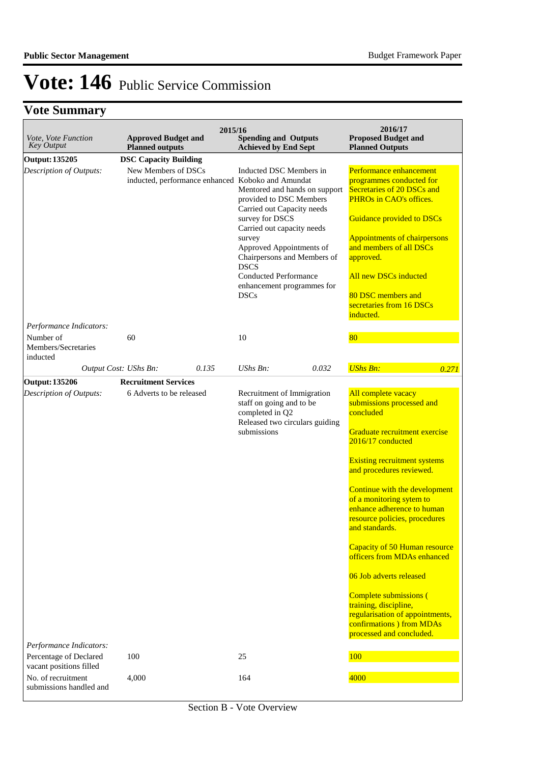# **Vote Summary**

| Vote, Vote Function<br>Key Output                                        | <b>Approved Budget and</b><br><b>Planned outputs</b> | 2015/16 | <b>Spending and Outputs</b><br><b>Achieved by End Sept</b>                                                                                                                                                                                                                                                                                                                               |       | 2016/17<br><b>Proposed Budget and</b><br><b>Planned Outputs</b>                                                                                                                                                                                                                                                                                                                                                                                                                                                                                                                |       |
|--------------------------------------------------------------------------|------------------------------------------------------|---------|------------------------------------------------------------------------------------------------------------------------------------------------------------------------------------------------------------------------------------------------------------------------------------------------------------------------------------------------------------------------------------------|-------|--------------------------------------------------------------------------------------------------------------------------------------------------------------------------------------------------------------------------------------------------------------------------------------------------------------------------------------------------------------------------------------------------------------------------------------------------------------------------------------------------------------------------------------------------------------------------------|-------|
| Output: 135205                                                           | <b>DSC Capacity Building</b>                         |         |                                                                                                                                                                                                                                                                                                                                                                                          |       |                                                                                                                                                                                                                                                                                                                                                                                                                                                                                                                                                                                |       |
| Description of Outputs:<br>Performance Indicators:                       | New Members of DSCs                                  |         | Inducted DSC Members in<br>inducted, performance enhanced Koboko and Amundat<br>Mentored and hands on support<br>provided to DSC Members<br>Carried out Capacity needs<br>survey for DSCS<br>Carried out capacity needs<br>survey<br>Approved Appointments of<br>Chairpersons and Members of<br><b>DSCS</b><br><b>Conducted Performance</b><br>enhancement programmes for<br><b>DSCs</b> |       | Performance enhancement<br>programmes conducted for<br>Secretaries of 20 DSCs and<br>PHROs in CAO's offices.<br>Guidance provided to DSCs<br><b>Appointments of chairpersons</b><br>and members of all DSCs<br>approved.<br>All new DSCs inducted<br>80 DSC members and<br>secretaries from 16 DSCs<br>inducted.                                                                                                                                                                                                                                                               |       |
| Number of<br>Members/Secretaries<br>inducted                             | 60                                                   |         | 10                                                                                                                                                                                                                                                                                                                                                                                       |       | 80                                                                                                                                                                                                                                                                                                                                                                                                                                                                                                                                                                             |       |
|                                                                          | Output Cost: UShs Bn:                                | 0.135   | $UShs Bn$ :                                                                                                                                                                                                                                                                                                                                                                              | 0.032 | <b>UShs Bn:</b>                                                                                                                                                                                                                                                                                                                                                                                                                                                                                                                                                                | 0.271 |
| Output: 135206                                                           | <b>Recruitment Services</b>                          |         |                                                                                                                                                                                                                                                                                                                                                                                          |       |                                                                                                                                                                                                                                                                                                                                                                                                                                                                                                                                                                                |       |
| Description of Outputs:<br>Performance Indicators:                       | 6 Adverts to be released                             |         | Recruitment of Immigration<br>staff on going and to be<br>completed in Q2<br>Released two circulars guiding<br>submissions                                                                                                                                                                                                                                                               |       | All complete vacacy<br>submissions processed and<br>concluded<br>Graduate recruitment exercise<br>2016/17 conducted<br><b>Existing recruitment systems</b><br>and procedures reviewed.<br>Continue with the development<br>of a monitoring sytem to<br>enhance adherence to human<br>resource policies, procedures<br>and standards.<br>Capacity of 50 Human resource<br>officers from MDAs enhanced<br>06 Job adverts released<br>Complete submissions (<br>training, discipline,<br>regularisation of appointments,<br>confirmations ) from MDAs<br>processed and concluded. |       |
| Percentage of Declared                                                   | 100                                                  |         | 25                                                                                                                                                                                                                                                                                                                                                                                       |       | 100                                                                                                                                                                                                                                                                                                                                                                                                                                                                                                                                                                            |       |
| vacant positions filled<br>No. of recruitment<br>submissions handled and | 4,000                                                |         | 164                                                                                                                                                                                                                                                                                                                                                                                      |       | 4000                                                                                                                                                                                                                                                                                                                                                                                                                                                                                                                                                                           |       |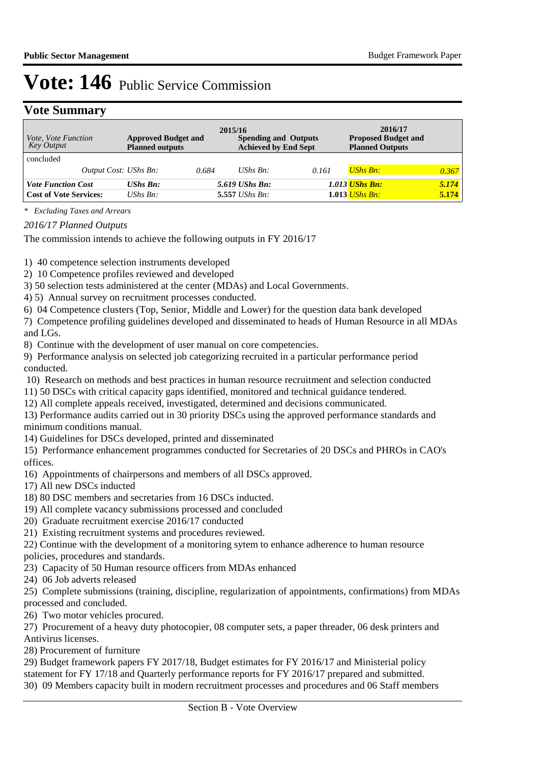### **Vote Summary**

| <i>Vote, Vote Function</i><br>Key Output |                       | <b>Approved Budget and</b><br><b>Planned outputs</b> |       | 2015/16<br><b>Spending and Outputs</b><br><b>Achieved by End Sept</b> |       | 2016/17<br><b>Proposed Budget and</b><br><b>Planned Outputs</b> |       |
|------------------------------------------|-----------------------|------------------------------------------------------|-------|-----------------------------------------------------------------------|-------|-----------------------------------------------------------------|-------|
| concluded                                |                       |                                                      |       |                                                                       |       |                                                                 |       |
|                                          | Output Cost: UShs Bn: |                                                      | 0.684 | UShs $Bn$ :                                                           | 0.161 | <b>UShs Bn:</b>                                                 | 0.367 |
| <b>Vote Function Cost</b>                |                       | <b>UShs Bn:</b>                                      |       | 5.619 UShs Bn:                                                        |       | <b>1.013 UShs Bn:</b>                                           | 5.174 |
| <b>Cost of Vote Services:</b>            |                       | $UShs Bn$ :                                          |       | $5.557$ UShs Bn:                                                      |       | $1.013$ UShs Bn:                                                | 5.174 |

*\* Excluding Taxes and Arrears*

*2016/17 Planned Outputs*

The commission intends to achieve the following outputs in FY 2016/17

1) 40 competence selection instruments developed

2) 10 Competence profiles reviewed and developed

3) 50 selection tests administered at the center (MDAs) and Local Governments.

4) 5) Annual survey on recruitment processes conducted.

6) 04 Competence clusters (Top, Senior, Middle and Lower) for the question data bank developed

7) Competence profiling guidelines developed and disseminated to heads of Human Resource in all MDAs and LGs.

8) Continue with the development of user manual on core competencies.

9) Performance analysis on selected job categorizing recruited in a particular performance period conducted.

10) Research on methods and best practices in human resource recruitment and selection conducted

11) 50 DSCs with critical capacity gaps identified, monitored and technical guidance tendered.

12) All complete appeals received, investigated, determined and decisions communicated.

13) Performance audits carried out in 30 priority DSCs using the approved performance standards and minimum conditions manual.

14) Guidelines for DSCs developed, printed and disseminated

15) Performance enhancement programmes conducted for Secretaries of 20 DSCs and PHROs in CAO's offices.

16) Appointments of chairpersons and members of all DSCs approved.

17) All new DSCs inducted

18) 80 DSC members and secretaries from 16 DSCs inducted.

19) All complete vacancy submissions processed and concluded

20) Graduate recruitment exercise 2016/17 conducted

21) Existing recruitment systems and procedures reviewed.

22) Continue with the development of a monitoring sytem to enhance adherence to human resource

policies, procedures and standards.

23) Capacity of 50 Human resource officers from MDAs enhanced

24) 06 Job adverts released

25) Complete submissions (training, discipline, regularization of appointments, confirmations) from MDAs processed and concluded.

26) Two motor vehicles procured.

27) Procurement of a heavy duty photocopier, 08 computer sets, a paper threader, 06 desk printers and Antivirus licenses.

28) Procurement of furniture

29) Budget framework papers FY 2017/18, Budget estimates for FY 2016/17 and Ministerial policy statement for FY 17/18 and Quarterly performance reports for FY 2016/17 prepared and submitted. 30) 09 Members capacity built in modern recruitment processes and procedures and 06 Staff members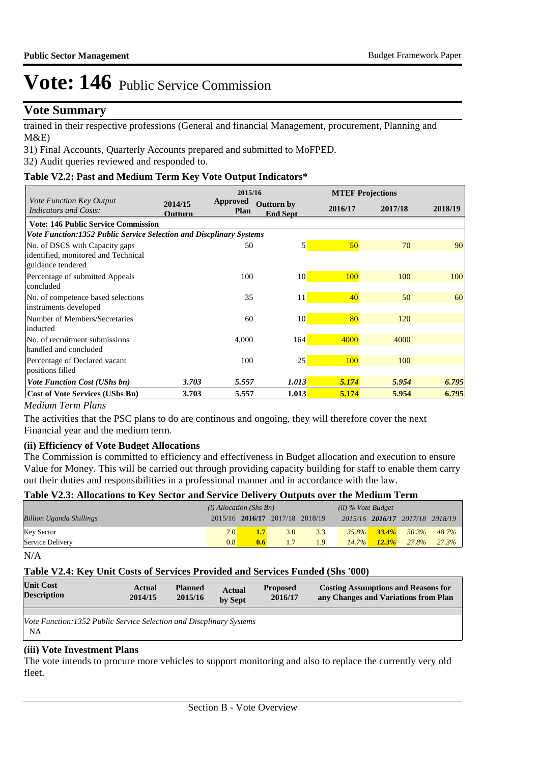### **Vote Summary**

trained in their respective professions (General and financial Management, procurement, Planning and M&E)

31) Final Accounts, Quarterly Accounts prepared and submitted to MoFPED.

32) Audit queries reviewed and responded to.

### **Table V2.2: Past and Medium Term Key Vote Output Indicators\***

|                                                                                            | 2015/16            |                                |                                      |         | <b>MTEF Projections</b> |         |
|--------------------------------------------------------------------------------------------|--------------------|--------------------------------|--------------------------------------|---------|-------------------------|---------|
| Vote Function Key Output<br><b>Indicators and Costs:</b>                                   | 2014/15<br>Outturn | <b>Approved</b><br><b>Plan</b> | <b>Outturn by</b><br><b>End Sept</b> | 2016/17 | 2017/18                 | 2018/19 |
| <b>Vote: 146 Public Service Commission</b>                                                 |                    |                                |                                      |         |                         |         |
| <b>Vote Function:1352 Public Service Selection and Discplinary Systems</b>                 |                    |                                |                                      |         |                         |         |
| No. of DSCS with Capacity gaps<br>identified, monitored and Technical<br>guidance tendered |                    | 50                             | $\mathbf{5}$                         | 50      | 70                      | 90      |
| Percentage of submitted Appeals<br>concluded                                               |                    | 100                            | 10                                   | 100     | 100                     | 100     |
| No. of competence based selections<br>instruments developed                                |                    | 35                             | 11                                   | 40      | 50                      | 60      |
| Number of Members/Secretaries<br>inducted                                                  |                    | 60                             | 10                                   | 80      | 120                     |         |
| No. of recruitment submissions<br>handled and concluded                                    |                    | 4,000                          | 164                                  | 4000    | 4000                    |         |
| Percentage of Declared vacant<br>positions filled                                          |                    | 100                            | 25                                   | 100     | 100                     |         |
| <b>Vote Function Cost (UShs bn)</b>                                                        | 3.703              | 5.557                          | 1.013                                | 5.174   | 5.954                   | 6.795   |
| <b>Cost of Vote Services (UShs Bn)</b>                                                     | 3.703              | 5.557                          | 1.013                                | 5.174   | 5.954                   | 6.795   |

### *Medium Term Plans*

The activities that the PSC plans to do are continous and ongoing, they will therefore cover the next Financial year and the medium term.

### **(ii) Efficiency of Vote Budget Allocations**

The Commission is committed to efficiency and effectiveness in Budget allocation and execution to ensure Value for Money. This will be carried out through providing capacity building for staff to enable them carry out their duties and responsibilities in a professional manner and in accordance with the law.

### **Table V2.3: Allocations to Key Sector and Service Delivery Outputs over the Medium Term**

|                                 | $(i)$ Allocation (Shs Bn) |                                 |     | $(ii)$ % Vote Budget |          |                   |                                 |       |
|---------------------------------|---------------------------|---------------------------------|-----|----------------------|----------|-------------------|---------------------------------|-------|
| <b>Billion Uganda Shillings</b> |                           | 2015/16 2016/17 2017/18 2018/19 |     |                      |          |                   | 2015/16 2016/17 2017/18 2018/19 |       |
| <b>Key Sector</b>               | 2.0                       |                                 | 3.0 | 3.3                  |          | $35.8\%$ $33.4\%$ | 50.3%                           | 48.7% |
| Service Delivery                | 0.8                       | 0.6                             |     | 1.9                  | $14.7\%$ | $12.3\%$          | 27.8%                           | 27.3% |

N/A

### **Table V2.4: Key Unit Costs of Services Provided and Services Funded (Shs '000)**

| <b>Unit Cost</b><br><b>Description</b>                                           | Actual<br>2014/15 | <b>Planned</b><br>2015/16 | <b>Actual</b><br>by Sept | <b>Proposed</b><br>2016/17 | <b>Costing Assumptions and Reasons for</b><br>any Changes and Variations from Plan |
|----------------------------------------------------------------------------------|-------------------|---------------------------|--------------------------|----------------------------|------------------------------------------------------------------------------------|
| Vote Function:1352 Public Service Selection and Discplinary Systems<br><b>NA</b> |                   |                           |                          |                            |                                                                                    |
|                                                                                  |                   |                           |                          |                            |                                                                                    |

#### **(iii) Vote Investment Plans**

The vote intends to procure more vehicles to support monitoring and also to replace the currently very old fleet.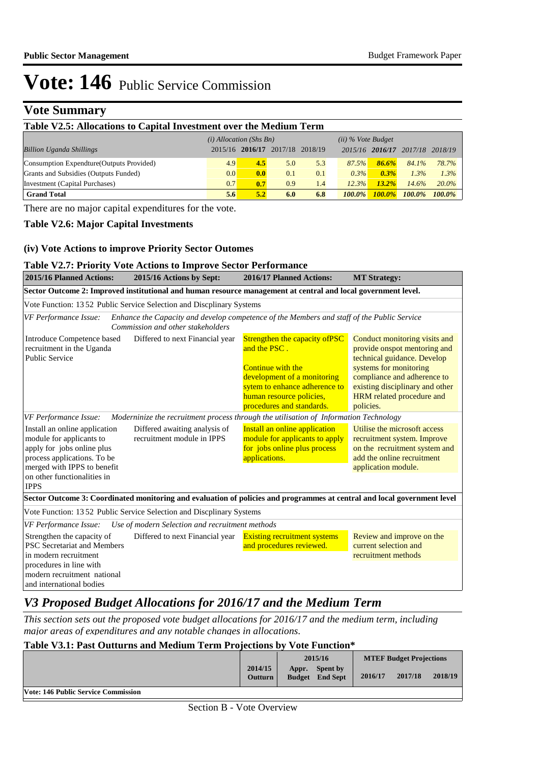### **Vote Summary**

| Table V2.5: Allocations to Capital Investment over the Medium Term |                  |         |                 |     |           |                 |           |          |  |
|--------------------------------------------------------------------|------------------|---------|-----------------|-----|-----------|-----------------|-----------|----------|--|
| $(ii)$ % Vote Budget<br>$(i)$ Allocation (Shs Bn)                  |                  |         |                 |     |           |                 |           |          |  |
| <b>Billion Uganda Shillings</b>                                    | 2015/16          | 2016/17 | 2017/18 2018/19 |     |           | 2015/16 2016/17 | 2017/18   | 2018/19  |  |
| Consumption Expendture (Outputs Provided)                          | 4.9              | 4.5     | 5.0             | 5.3 | 87.5%     | 86.6%           | 84.1%     | 78.7%    |  |
| Grants and Subsidies (Outputs Funded)                              | 0.0 <sub>l</sub> | 0.0     | 0.1             | 0.1 | $0.3\%$   | $0.3\%$         | 1.3%      | 1.3%     |  |
| Investment (Capital Purchases)                                     | 0.7              | 0.7     | 0.9             | 1.4 | 12.3%     | $13.2\%$        | $14.6\%$  | $20.0\%$ |  |
| <b>Grand Total</b>                                                 | 5.6              | 5.2     | 6.0             | 6.8 | $100.0\%$ | $100.0\%$       | $100.0\%$ | 100.0%   |  |

There are no major capital expenditures for the vote.

#### **Table V2.6: Major Capital Investments**

#### **(iv) Vote Actions to improve Priority Sector Outomes**

### **Table V2.7: Priority Vote Actions to Improve Sector Performance**

| 2015/16 Planned Actions:                                                                                                                              | 2015/16 Actions by Sept:                                                                                                        | 2016/17 Planned Actions:                                                                                                                                                                     | <b>MT Strategy:</b>                                                                                                                                                                                                                |
|-------------------------------------------------------------------------------------------------------------------------------------------------------|---------------------------------------------------------------------------------------------------------------------------------|----------------------------------------------------------------------------------------------------------------------------------------------------------------------------------------------|------------------------------------------------------------------------------------------------------------------------------------------------------------------------------------------------------------------------------------|
|                                                                                                                                                       | Sector Outcome 2: Improved institutional and human resource management at central and local government level.                   |                                                                                                                                                                                              |                                                                                                                                                                                                                                    |
|                                                                                                                                                       | Vote Function: 1352 Public Service Selection and Discplinary Systems                                                            |                                                                                                                                                                                              |                                                                                                                                                                                                                                    |
| VF Performance Issue:                                                                                                                                 | Enhance the Capacity and develop competence of the Members and staff of the Public Service<br>Commission and other stakeholders |                                                                                                                                                                                              |                                                                                                                                                                                                                                    |
| Introduce Competence based<br>recruitment in the Uganda<br><b>Public Service</b>                                                                      | Differed to next Financial year                                                                                                 | Strengthen the capacity of PSC<br>and the PSC.<br>Continue with the<br>development of a monitoring<br>sytem to enhance adherence to<br>human resource policies,<br>procedures and standards. | Conduct monitoring visits and<br>provide onspot mentoring and<br>technical guidance. Develop<br>systems for monitoring<br>compliance and adherence to<br>existing disciplinary and other<br>HRM related procedure and<br>policies. |
| VF Performance Issue:                                                                                                                                 | Moderninize the recruitment process through the utilisation of Information Technology                                           |                                                                                                                                                                                              |                                                                                                                                                                                                                                    |
| Install an online application<br>module for applicants to<br>apply for jobs online plus<br>process applications. To be<br>merged with IPPS to benefit | Differed awaiting analysis of<br>recruitment module in IPPS                                                                     | Install an online application<br>module for applicants to apply<br>for jobs online plus process<br>applications.                                                                             | Utilise the microsoft access<br>recruitment system. Improve<br>on the recruitment system and<br>add the online recruitment<br>application module.                                                                                  |
| on other functionalities in<br><b>IPPS</b>                                                                                                            |                                                                                                                                 |                                                                                                                                                                                              |                                                                                                                                                                                                                                    |
|                                                                                                                                                       | Sector Outcome 3: Coordinated monitoring and evaluation of policies and programmes at central and local government level        |                                                                                                                                                                                              |                                                                                                                                                                                                                                    |
|                                                                                                                                                       | Vote Function: 1352 Public Service Selection and Discplinary Systems                                                            |                                                                                                                                                                                              |                                                                                                                                                                                                                                    |
| VF Performance Issue:                                                                                                                                 | Use of modern Selection and recruitment methods                                                                                 |                                                                                                                                                                                              |                                                                                                                                                                                                                                    |
| Strengthen the capacity of<br>PSC Secretariat and Members<br>in modern recruitment                                                                    | Differed to next Financial year                                                                                                 | <b>Existing recruitment systems</b><br>and procedures reviewed.                                                                                                                              | Review and improve on the<br>current selection and<br>recruitment methods                                                                                                                                                          |
| procedures in line with<br>modern recruitment national<br>and international bodies                                                                    |                                                                                                                                 |                                                                                                                                                                                              |                                                                                                                                                                                                                                    |

### *V3 Proposed Budget Allocations for 2016/17 and the Medium Term*

*This section sets out the proposed vote budget allocations for 2016/17 and the medium term, including major areas of expenditures and any notable changes in allocations.* 

### **Table V3.1: Past Outturns and Medium Term Projections by Vote Function\***

|                                            |                           | 2015/16                                            |         | <b>MTEF Budget Projections</b> |         |  |
|--------------------------------------------|---------------------------|----------------------------------------------------|---------|--------------------------------|---------|--|
|                                            | 2014/15<br><b>Outturn</b> | <b>Spent by</b><br>Appr.<br><b>Budget</b> End Sept | 2016/17 | 2017/18                        | 2018/19 |  |
| <b>Vote: 146 Public Service Commission</b> |                           |                                                    |         |                                |         |  |
|                                            |                           |                                                    |         |                                |         |  |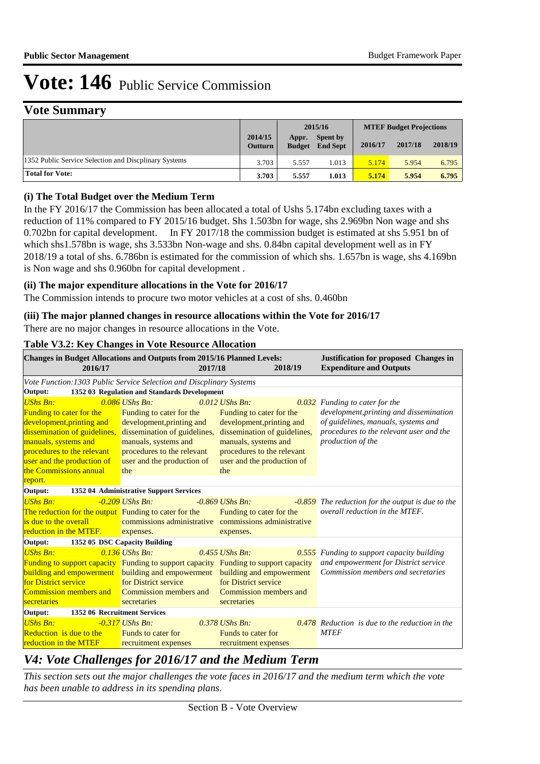### **Vote Summary**

|                                                       |                           | 2015/16                |                                    | <b>MTEF Budget Projections</b> |         |         |
|-------------------------------------------------------|---------------------------|------------------------|------------------------------------|--------------------------------|---------|---------|
|                                                       | 2014/15<br><b>Outturn</b> | Appr.<br><b>Budget</b> | <b>Spent by</b><br><b>End Sept</b> | 2016/17                        | 2017/18 | 2018/19 |
| 1352 Public Service Selection and Discolinary Systems | 3.703                     | 5.557                  | .013                               | 5.174                          | 5.954   | 6.795   |
| <b>Total for Vote:</b>                                | 3.703                     | 5.557                  | 1.013                              | 5.174                          | 5.954   | 6.795   |

### **(i) The Total Budget over the Medium Term**

In the FY 2016/17 the Commission has been allocated a total of Ushs 5.174bn excluding taxes with a reduction of 11% compared to FY 2015/16 budget. Shs 1.503bn for wage, shs 2.969bn Non wage and shs 0.702bn for capital development. In FY 2017/18 the commission budget is estimated at shs 5.951 bn of which shs1.578bn is wage, shs 3.533bn Non-wage and shs. 0.84bn capital development well as in FY 2018/19 a total of shs. 6.786bn is estimated for the commission of which shs. 1.657bn is wage, shs 4.169bn is Non wage and shs 0.960bn for capital development .

### **(ii) The major expenditure allocations in the Vote for 2016/17**

The Commission intends to procure two motor vehicles at a cost of shs. 0.460bn

### **(iii) The major planned changes in resource allocations within the Vote for 2016/17**

There are no major changes in resource allocations in the Vote.

#### **Table V3.2: Key Changes in Vote Resource Allocation**

| 2016/17                                               | <b>Changes in Budget Allocations and Outputs from 2015/16 Planned Levels:</b><br>2017/18   | 2018/19                      | <b>Justification for proposed Changes in</b><br><b>Expenditure and Outputs</b> |
|-------------------------------------------------------|--------------------------------------------------------------------------------------------|------------------------------|--------------------------------------------------------------------------------|
|                                                       | Vote Function: 1303 Public Service Selection and Discplinary Systems                       |                              |                                                                                |
| Output:                                               | 1352 03 Regulation and Standards Development                                               |                              |                                                                                |
| <b>UShs Bn:</b>                                       | $0.086$ UShs Bn:                                                                           | $0.012$ UShs Bn:             | 0.032 Funding to cater for the                                                 |
| <b>Funding to cater for the</b>                       | Funding to cater for the                                                                   | Funding to cater for the     | development, printing and dissemination                                        |
| development, printing and                             | development, printing and                                                                  | development, printing and    | of guidelines, manuals, systems and                                            |
| dissemination of guidelines,                          | dissemination of guidelines,                                                               | dissemination of guidelines, | procedures to the relevant user and the                                        |
| manuals, systems and                                  | manuals, systems and                                                                       | manuals, systems and         | production of the                                                              |
| procedures to the relevant                            | procedures to the relevant                                                                 | procedures to the relevant   |                                                                                |
| user and the production of                            | user and the production of                                                                 | user and the production of   |                                                                                |
| the Commissions annual                                | the                                                                                        | the                          |                                                                                |
| report.                                               |                                                                                            |                              |                                                                                |
| Output:                                               | 1352 04 Administrative Support Services                                                    |                              |                                                                                |
| <b>UShs Bn:</b>                                       | $-0.209$ UShs Bn:                                                                          | $-0.869$ UShs Bn:            | -0.859 The reduction for the output is due to the                              |
| The reduction for the output Funding to cater for the |                                                                                            | Funding to cater for the     | overall reduction in the MTEF.                                                 |
| is due to the overall                                 | commissions administrative commissions administrative                                      |                              |                                                                                |
| reduction in the MTEF.                                | expenses.                                                                                  | expenses.                    |                                                                                |
| Output:                                               | 1352 05 DSC Capacity Building                                                              |                              |                                                                                |
| <b>UShs Bn:</b>                                       | $0.136$ UShs Bn:                                                                           | $0.455$ UShs Bn:<br>0.555    | Funding to support capacity building                                           |
|                                                       | <b>Funding to support capacity</b> Funding to support capacity Funding to support capacity |                              | and empowerment for District service                                           |
|                                                       | <b>building and empowerment</b> building and empowerment                                   | building and empowerment     | Commission members and secretaries                                             |
| for District service                                  | for District service                                                                       | for District service         |                                                                                |
| Commission members and                                | Commission members and                                                                     | Commission members and       |                                                                                |
| secretaries                                           | secretaries                                                                                | secretaries                  |                                                                                |
| 1352 06 Recruitment Services<br>Output:               |                                                                                            |                              |                                                                                |
| <b>UShs Bn:</b>                                       | $-0.317$ UShs Bn:                                                                          | $0.378$ UShs Bn:             | $0.478$ Reduction is due to the reduction in the                               |
| Reduction is due to the                               | <b>Funds to cater for</b>                                                                  | Funds to cater for           | <b>MTEF</b>                                                                    |
| reduction in the MTEF                                 | recruitment expenses                                                                       | recruitment expenses         |                                                                                |

### *V4: Vote Challenges for 2016/17 and the Medium Term*

*This section sets out the major challenges the vote faces in 2016/17 and the medium term which the vote has been unable to address in its spending plans.*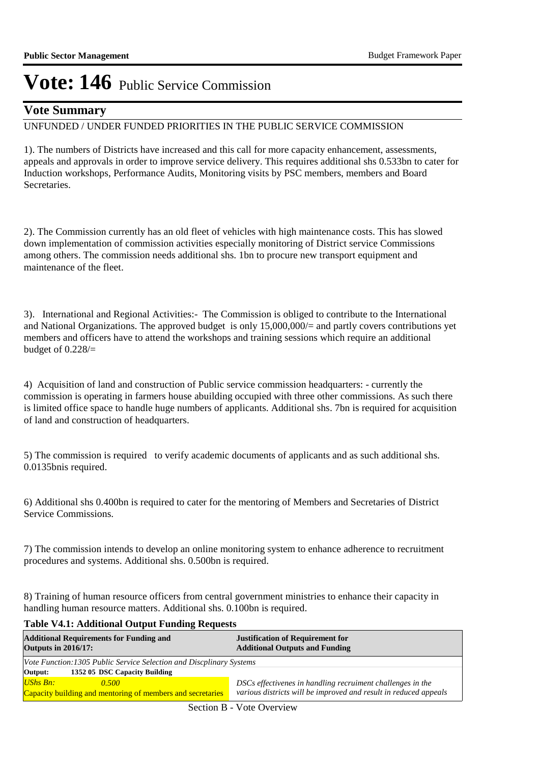### **Vote Summary**

### UNFUNDED / UNDER FUNDED PRIORITIES IN THE PUBLIC SERVICE COMMISSION

1). The numbers of Districts have increased and this call for more capacity enhancement, assessments, appeals and approvals in order to improve service delivery. This requires additional shs 0.533bn to cater for Induction workshops, Performance Audits, Monitoring visits by PSC members, members and Board Secretaries.

2). The Commission currently has an old fleet of vehicles with high maintenance costs. This has slowed down implementation of commission activities especially monitoring of District service Commissions among others. The commission needs additional shs. 1bn to procure new transport equipment and maintenance of the fleet.

3). International and Regional Activities:- The Commission is obliged to contribute to the International and National Organizations. The approved budget is only 15,000,000/= and partly covers contributions yet members and officers have to attend the workshops and training sessions which require an additional budget of 0.228/=

4) Acquisition of land and construction of Public service commission headquarters: - currently the commission is operating in farmers house abuilding occupied with three other commissions. As such there is limited office space to handle huge numbers of applicants. Additional shs. 7bn is required for acquisition of land and construction of headquarters.

5) The commission is required to verify academic documents of applicants and as such additional shs. 0.0135bnis required.

6) Additional shs 0.400bn is required to cater for the mentoring of Members and Secretaries of District Service Commissions.

7) The commission intends to develop an online monitoring system to enhance adherence to recruitment procedures and systems. Additional shs. 0.500bn is required.

8) Training of human resource officers from central government ministries to enhance their capacity in handling human resource matters. Additional shs. 0.100bn is required.

#### **Table V4.1: Additional Output Funding Requests**

| <b>Additional Requirements for Funding and</b><br><b>Outputs in 2016/17:</b> | <b>Justification of Requirement for</b><br><b>Additional Outputs and Funding</b> |  |  |  |
|------------------------------------------------------------------------------|----------------------------------------------------------------------------------|--|--|--|
| Vote Function:1305 Public Service Selection and Discplinary Systems          |                                                                                  |  |  |  |
| 1352 05 DSC Capacity Building<br>Output:                                     |                                                                                  |  |  |  |
| $UShs Bn:$<br>0.500                                                          | DSCs effectivenes in handling recruiment challenges in the                       |  |  |  |
| Capacity building and mentoring of members and secretaries                   | various districts will be improved and result in reduced appeals                 |  |  |  |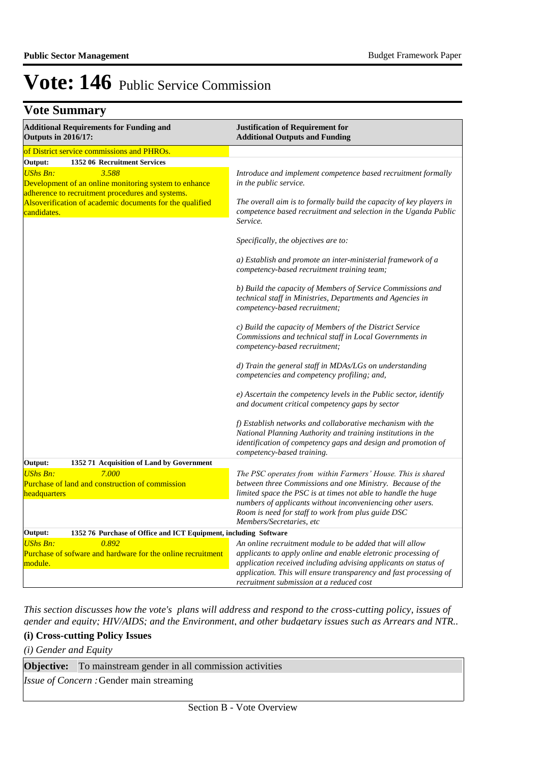### **Vote Summary**

| <b>Additional Requirements for Funding and</b><br><b>Outputs in 2016/17:</b>                                                                                                                                     | <b>Justification of Requirement for</b><br><b>Additional Outputs and Funding</b>                                                                                                                                                                                                                                                           |  |  |
|------------------------------------------------------------------------------------------------------------------------------------------------------------------------------------------------------------------|--------------------------------------------------------------------------------------------------------------------------------------------------------------------------------------------------------------------------------------------------------------------------------------------------------------------------------------------|--|--|
| of District service commissions and PHROs.                                                                                                                                                                       |                                                                                                                                                                                                                                                                                                                                            |  |  |
| Output:<br>1352 06 Recruitment Services                                                                                                                                                                          |                                                                                                                                                                                                                                                                                                                                            |  |  |
| <b>UShs Bn:</b><br>3.588<br>Development of an online monitoring system to enhance<br>adherence to recruitment procedures and systems.<br>Alsoverification of academic documents for the qualified<br>candidates. | Introduce and implement competence based recruitment formally<br>in the public service.                                                                                                                                                                                                                                                    |  |  |
|                                                                                                                                                                                                                  | The overall aim is to formally build the capacity of key players in<br>competence based recruitment and selection in the Uganda Public<br>Service.                                                                                                                                                                                         |  |  |
|                                                                                                                                                                                                                  | Specifically, the objectives are to:                                                                                                                                                                                                                                                                                                       |  |  |
|                                                                                                                                                                                                                  | a) Establish and promote an inter-ministerial framework of a<br>competency-based recruitment training team;                                                                                                                                                                                                                                |  |  |
|                                                                                                                                                                                                                  | b) Build the capacity of Members of Service Commissions and<br>technical staff in Ministries, Departments and Agencies in<br>competency-based recruitment;                                                                                                                                                                                 |  |  |
|                                                                                                                                                                                                                  | c) Build the capacity of Members of the District Service<br>Commissions and technical staff in Local Governments in<br>competency-based recruitment;                                                                                                                                                                                       |  |  |
|                                                                                                                                                                                                                  | d) Train the general staff in MDAs/LGs on understanding<br>competencies and competency profiling; and,                                                                                                                                                                                                                                     |  |  |
|                                                                                                                                                                                                                  | e) Ascertain the competency levels in the Public sector, identify<br>and document critical competency gaps by sector                                                                                                                                                                                                                       |  |  |
|                                                                                                                                                                                                                  | f) Establish networks and collaborative mechanism with the<br>National Planning Authority and training institutions in the<br>identification of competency gaps and design and promotion of<br>competency-based training.                                                                                                                  |  |  |
| Output:<br>1352 71 Acquisition of Land by Government                                                                                                                                                             |                                                                                                                                                                                                                                                                                                                                            |  |  |
| <b>UShs Bn:</b><br>7.000<br>Purchase of land and construction of commission<br>headquarters                                                                                                                      | The PSC operates from within Farmers' House. This is shared<br>between three Commissions and one Ministry. Because of the<br>limited space the PSC is at times not able to handle the huge<br>numbers of applicants without inconveniencing other users.<br>Room is need for staff to work from plus guide DSC<br>Members/Secretaries, etc |  |  |
| Output:<br>1352 76 Purchase of Office and ICT Equipment, including Software                                                                                                                                      |                                                                                                                                                                                                                                                                                                                                            |  |  |
| <b>UShs Bn:</b><br>0.892<br>Purchase of sofware and hardware for the online recruitment<br>module.                                                                                                               | An online recruitment module to be added that will allow<br>applicants to apply online and enable eletronic processing of<br>application received including advising applicants on status of<br>application. This will ensure transparency and fast processing of<br>recruitment submission at a reduced cost                              |  |  |

*This section discusses how the vote's plans will address and respond to the cross-cutting policy, issues of gender and equity; HIV/AIDS; and the Environment, and other budgetary issues such as Arrears and NTR..* 

### **(i) Cross-cutting Policy Issues**

*(i) Gender and Equity*

**Objective:** To mainstream gender in all commission activities

*Issue of Concern :*Gender main streaming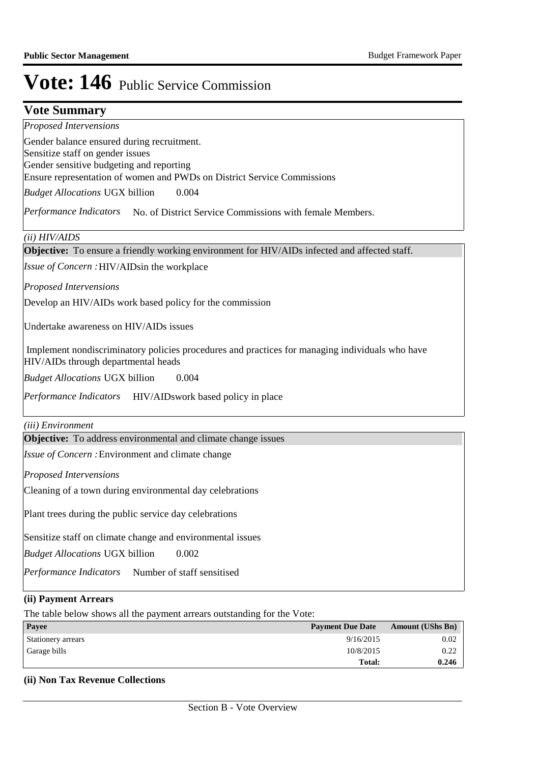### **Vote Summary**

*Proposed Intervensions* 

Gender balance ensured during recruitment. Sensitize staff on gender issues Gender sensitive budgeting and reporting Ensure representation of women and PWDs on District Service Commissions

0.004 *Budget Allocations*  UGX billion

Performance Indicators No. of District Service Commissions with female Members.

*(ii) HIV/AIDS*

**Objective:** To ensure a friendly working environment for HIV/AIDs infected and affected staff.

Issue of Concern : HIV/AIDsin the workplace

*Proposed Intervensions* 

Develop an HIV/AIDs work based policy for the commission

Undertake awareness on HIV/AIDs issues

 Implement nondiscriminatory policies procedures and practices for managing individuals who have HIV/AIDs through departmental heads

0.004 *Budget Allocations*  UGX billion

Performance Indicators HIV/AIDswork based policy in place

*(iii) Environment*

**Objective:** To address environmental and climate change issues

Issue of Concern : Environment and climate change

*Proposed Intervensions* 

Cleaning of a town during environmental day celebrations

Plant trees during the public service day celebrations

Sensitize staff on climate change and environmental issues

0.002 *Budget Allocations*  UGX billion

Performance Indicators Number of staff sensitised

#### **(ii) Payment Arrears**

The table below shows all the payment arrears outstanding for the Vote:

| Payee              | <b>Payment Due Date</b> | <b>Amount (UShs Bn)</b> |
|--------------------|-------------------------|-------------------------|
| Stationery arrears | 9/16/2015               | 0.02                    |
| Garage bills       | 10/8/2015               | 0.22                    |
|                    | Total:                  | 0.246                   |

### **(ii) Non Tax Revenue Collections**